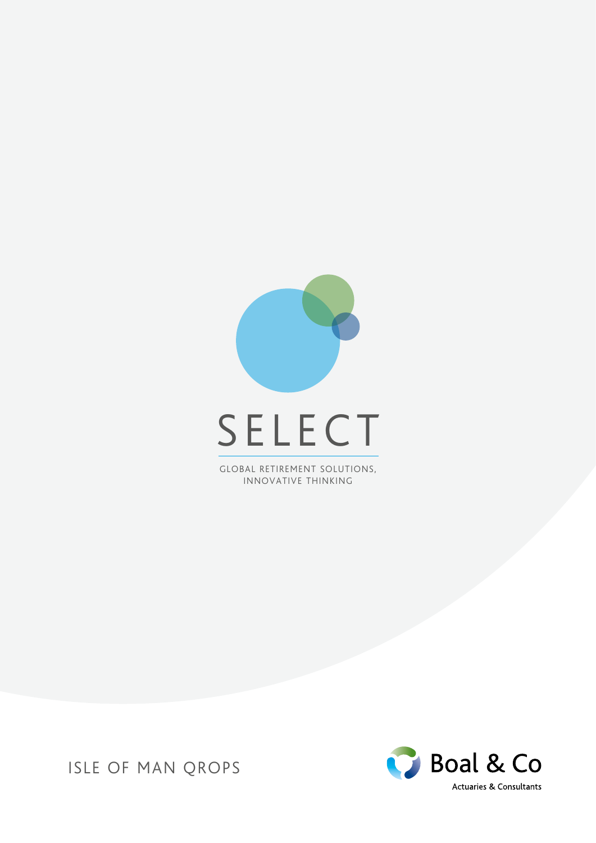

GLOBAL RETIREMENT SOLUTIONS, INNOVATIVE THINKING



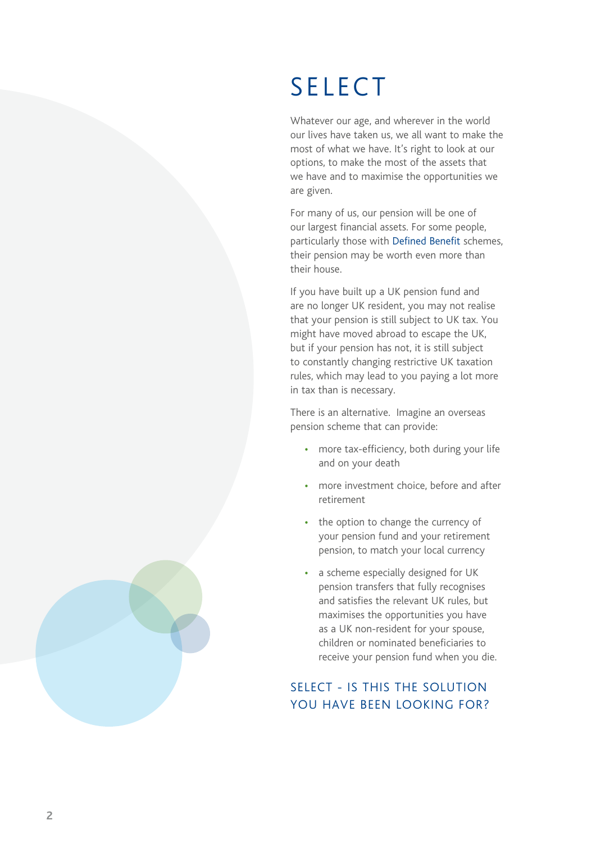# SELECT

Whatever our age, and wherever in the world our lives have taken us, we all want to make the most of what we have. It's right to look at our options, to make the most of the assets that we have and to maximise the opportunities we are given.

For many of us, our pension will be one of our largest financial assets. For some people, particularly those with Defined Benefit schemes, their pension may be worth even more than their house.

If you have built up a UK pension fund and are no longer UK resident, you may not realise that your pension is still subject to UK tax. You might have moved abroad to escape the UK, but if your pension has not, it is still subject to constantly changing restrictive UK taxation rules, which may lead to you paying a lot more in tax than is necessary.

There is an alternative. Imagine an overseas pension scheme that can provide:

- more tax-efficiency, both during your life and on your death
- more investment choice, before and after retirement
- the option to change the currency of your pension fund and your retirement pension, to match your local currency
- a scheme especially designed for UK pension transfers that fully recognises and satisfies the relevant UK rules, but maximises the opportunities you have as a UK non-resident for your spouse, children or nominated beneficiaries to receive your pension fund when you die.

#### SELECT - IS THIS THE SOLUTION YOU HAVE BEEN LOOKING FOR?

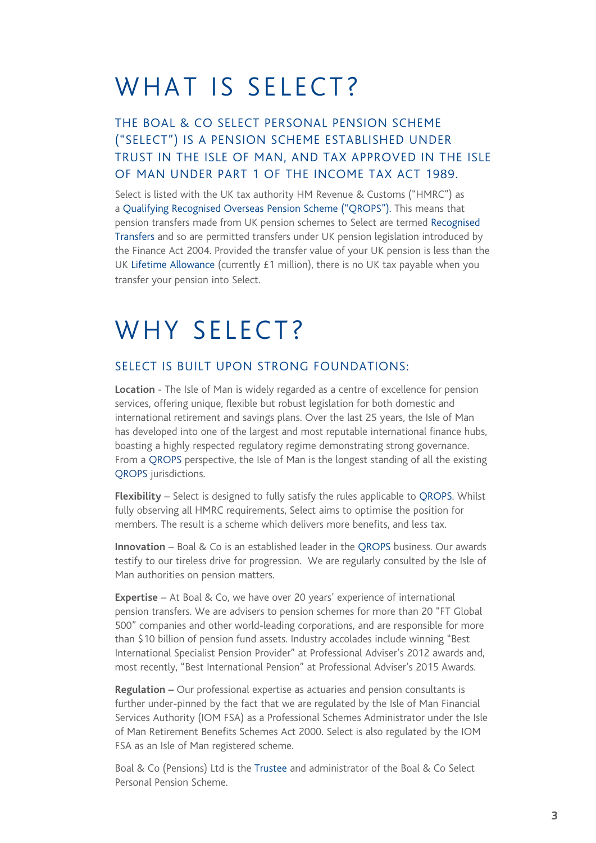### WHAT IS SELECT?

#### THE BOAL & CO SELECT PERSONAL PENSION SCHEME ("SELECT") IS A PENSION SCHEME ESTABLISHED UNDER TRUST IN THE ISLE OF MAN, AND TAX APPROVED IN THE ISLE OF MAN UNDER PART 1 OF THE INCOME TAX ACT 1989.

Select is listed with the UK tax authority HM Revenue & Customs ("HMRC") as a Qualifying Recognised Overseas Pension Scheme ("QROPS"). This means that pension transfers made from UK pension schemes to Select are termed Recognised Transfers and so are permitted transfers under UK pension legislation introduced by the Finance Act 2004. Provided the transfer value of your UK pension is less than the UK Lifetime Allowance (currently £1 million), there is no UK tax payable when you transfer your pension into Select.

#### WHY SELECT?

#### SELECT IS BUILT UPON STRONG FOUNDATIONS:

**Location** - The Isle of Man is widely regarded as a centre of excellence for pension services, offering unique, flexible but robust legislation for both domestic and international retirement and savings plans. Over the last 25 years, the Isle of Man has developed into one of the largest and most reputable international finance hubs, boasting a highly respected regulatory regime demonstrating strong governance. From a QROPS perspective, the Isle of Man is the longest standing of all the existing QROPS jurisdictions.

**Flexibility** – Select is designed to fully satisfy the rules applicable to QROPS. Whilst fully observing all HMRC requirements, Select aims to optimise the position for members. The result is a scheme which delivers more benefits, and less tax.

**Innovation** – Boal & Co is an established leader in the QROPS business. Our awards testify to our tireless drive for progression. We are regularly consulted by the Isle of Man authorities on pension matters.

**Expertise** – At Boal & Co, we have over 20 years' experience of international pension transfers. We are advisers to pension schemes for more than 20 "FT Global 500" companies and other world-leading corporations, and are responsible for more than \$10 billion of pension fund assets. Industry accolades include winning "Best International Specialist Pension Provider" at Professional Adviser's 2012 awards and, most recently, "Best International Pension" at Professional Adviser's 2015 Awards.

**Regulation –** Our professional expertise as actuaries and pension consultants is further under-pinned by the fact that we are regulated by the Isle of Man Financial Services Authority (IOM FSA) as a Professional Schemes Administrator under the Isle of Man Retirement Benefits Schemes Act 2000. Select is also regulated by the IOM FSA as an Isle of Man registered scheme.

Boal & Co (Pensions) Ltd is the Trustee and administrator of the Boal & Co Select Personal Pension Scheme.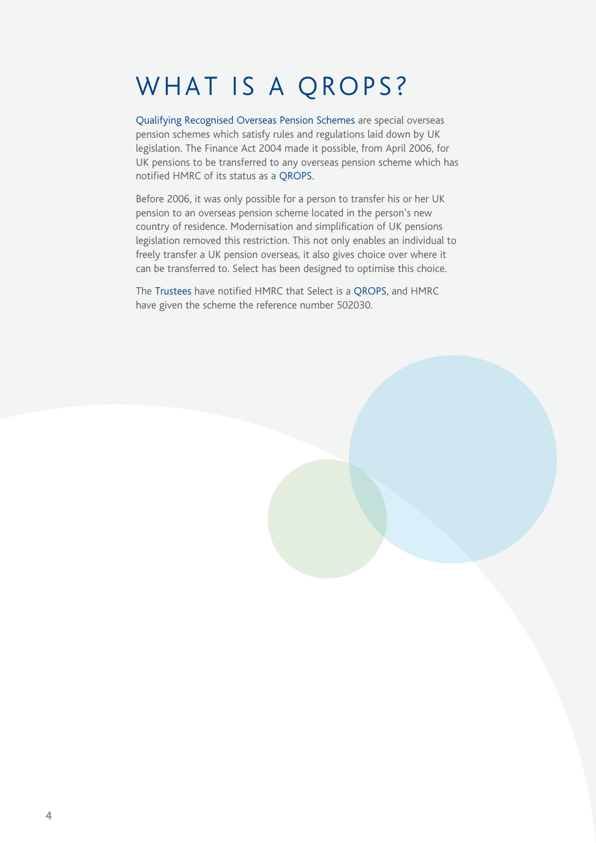## WHAT IS A QROPS?

Qualifying Recognised Overseas Pension Schemes are special overseas pension schemes which satisfy rules and regulations laid down by UK legislation. The Finance Act 2004 made it possible, from April 2006, for UK pensions to be transferred to any overseas pension scheme which has notified HMRC of its status as a QROPS.

Before 2006, it was only possible for a person to transfer his or her UK pension to an overseas pension scheme located in the person's new country of residence. Modernisation and simplification of UK pensions legislation removed this restriction. This not only enables an individual to freely transfer a UK pension overseas, it also gives choice over where it can be transferred to. Select has been designed to optimise this choice.

The Trustees have notified HMRC that Select is a QROPS, and HMRC have given the scheme the reference number 502030.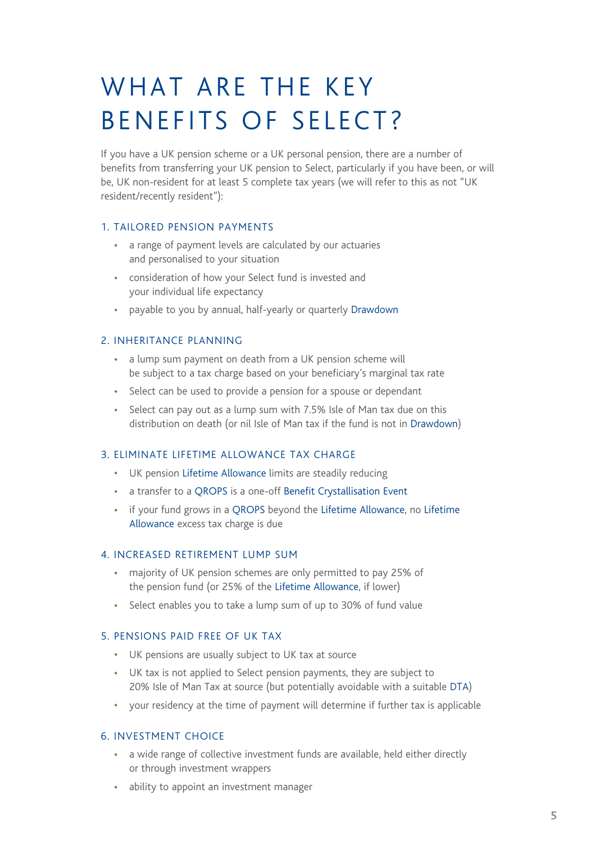## WHAT ARE THE KEY BENEFITS OF SELECT?

If you have a UK pension scheme or a UK personal pension, there are a number of benefits from transferring your UK pension to Select, particularly if you have been, or will be, UK non-resident for at least 5 complete tax years (we will refer to this as not "UK resident/recently resident"):

#### 1. TAILORED PENSION PAYMENTS

- a range of payment levels are calculated by our actuaries and personalised to your situation
- consideration of how your Select fund is invested and your individual life expectancy
- payable to you by annual, half-yearly or quarterly Drawdown

#### 2. INHERITANCE PLANNING

- a lump sum payment on death from a UK pension scheme will be subject to a tax charge based on your beneficiary's marginal tax rate
- Select can be used to provide a pension for a spouse or dependant
- Select can pay out as a lump sum with 7.5% Isle of Man tax due on this distribution on death (or nil Isle of Man tax if the fund is not in Drawdown)

#### 3. ELIMINATE LIFETIME ALLOWANCE TAX CHARGE

- UK pension Lifetime Allowance limits are steadily reducing
- a transfer to a QROPS is a one-off Benefit Crystallisation Event
- if your fund grows in a QROPS beyond the Lifetime Allowance, no Lifetime Allowance excess tax charge is due

#### 4. INCREASED RETIREMENT LUMP SUM

- majority of UK pension schemes are only permitted to pay 25% of the pension fund (or 25% of the Lifetime Allowance, if lower)
- Select enables you to take a lump sum of up to 30% of fund value

#### 5. PENSIONS PAID FREE OF UK TAX

- UK pensions are usually subject to UK tax at source
- UK tax is not applied to Select pension payments, they are subject to 20% Isle of Man Tax at source (but potentially avoidable with a suitable DTA)
- your residency at the time of payment will determine if further tax is applicable

#### 6. INVESTMENT CHOICE

- a wide range of collective investment funds are available, held either directly or through investment wrappers
- ability to appoint an investment manager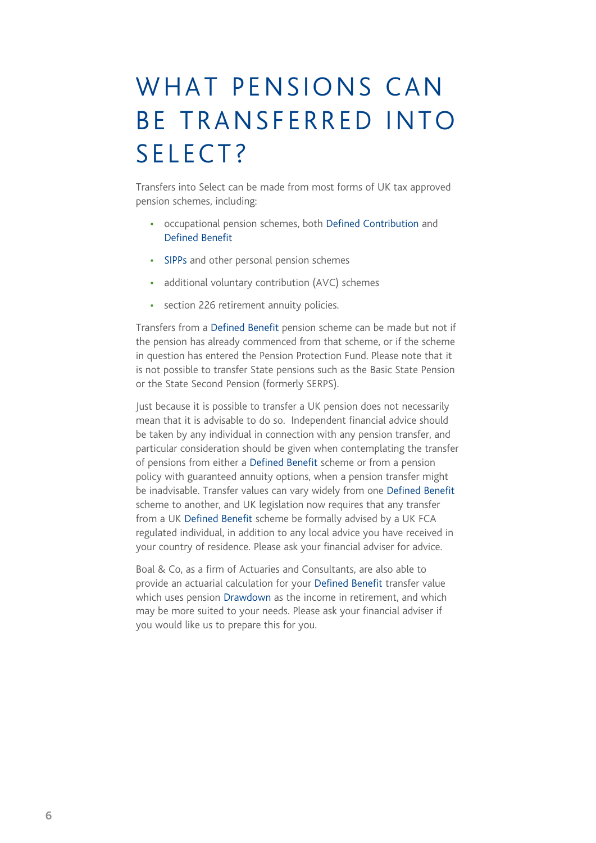# WHAT PENSIONS CAN BE TRANSFERRED INTO SELECT?

Transfers into Select can be made from most forms of UK tax approved pension schemes, including:

- occupational pension schemes, both Defined Contribution and Defined Benefit
- SIPPs and other personal pension schemes
- additional voluntary contribution (AVC) schemes
- section 226 retirement annuity policies.

Transfers from a Defined Benefit pension scheme can be made but not if the pension has already commenced from that scheme, or if the scheme in question has entered the Pension Protection Fund. Please note that it is not possible to transfer State pensions such as the Basic State Pension or the State Second Pension (formerly SERPS).

Just because it is possible to transfer a UK pension does not necessarily mean that it is advisable to do so. Independent financial advice should be taken by any individual in connection with any pension transfer, and particular consideration should be given when contemplating the transfer of pensions from either a Defined Benefit scheme or from a pension policy with guaranteed annuity options, when a pension transfer might be inadvisable. Transfer values can vary widely from one Defined Benefit scheme to another, and UK legislation now requires that any transfer from a UK Defined Benefit scheme be formally advised by a UK FCA regulated individual, in addition to any local advice you have received in your country of residence. Please ask your financial adviser for advice.

Boal & Co, as a firm of Actuaries and Consultants, are also able to provide an actuarial calculation for your Defined Benefit transfer value which uses pension Drawdown as the income in retirement, and which may be more suited to your needs. Please ask your financial adviser if you would like us to prepare this for you.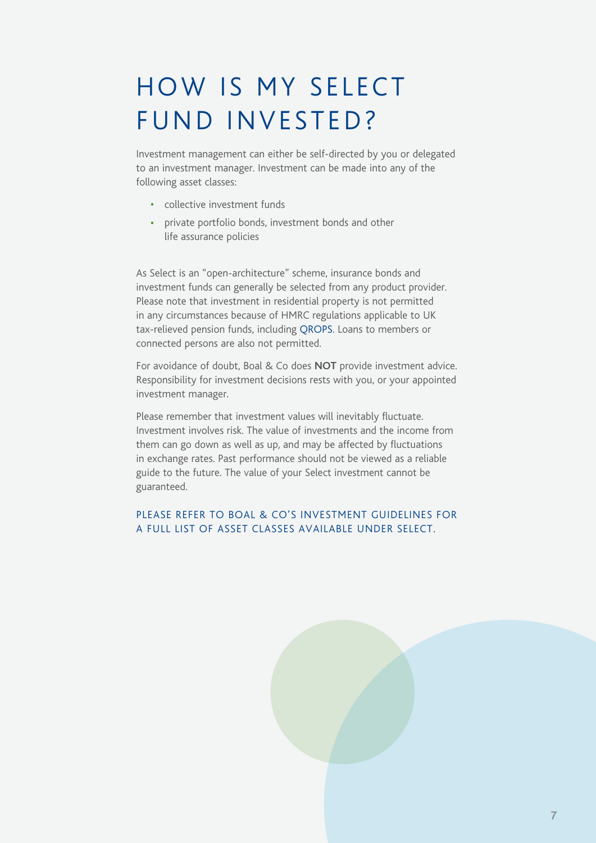# HOW IS MY SELECT FUND INVESTED?

Investment management can either be self-directed by you or delegated to an investment manager. Investment can be made into any of the following asset classes:

- collective investment funds
- private portfolio bonds, investment bonds and other life assurance policies

As Select is an "open-architecture" scheme, insurance bonds and investment funds can generally be selected from any product provider. Please note that investment in residential property is not permitted in any circumstances because of HMRC regulations applicable to UK tax-relieved pension funds, including QROPS. Loans to members or connected persons are also not permitted.

For avoidance of doubt, Boal & Co does **NOT** provide investment advice. Responsibility for investment decisions rests with you, or your appointed investment manager.

Please remember that investment values will inevitably fluctuate. Investment involves risk. The value of investments and the income from them can go down as well as up, and may be affected by fluctuations in exchange rates. Past performance should not be viewed as a reliable guide to the future. The value of your Select investment cannot be guaranteed.

#### PLEASE REFER TO BOAL & CO'S INVESTMENT GUIDELINES FOR A FULL LIST OF ASSET CLASSES AVAILABLE UNDER SELECT.

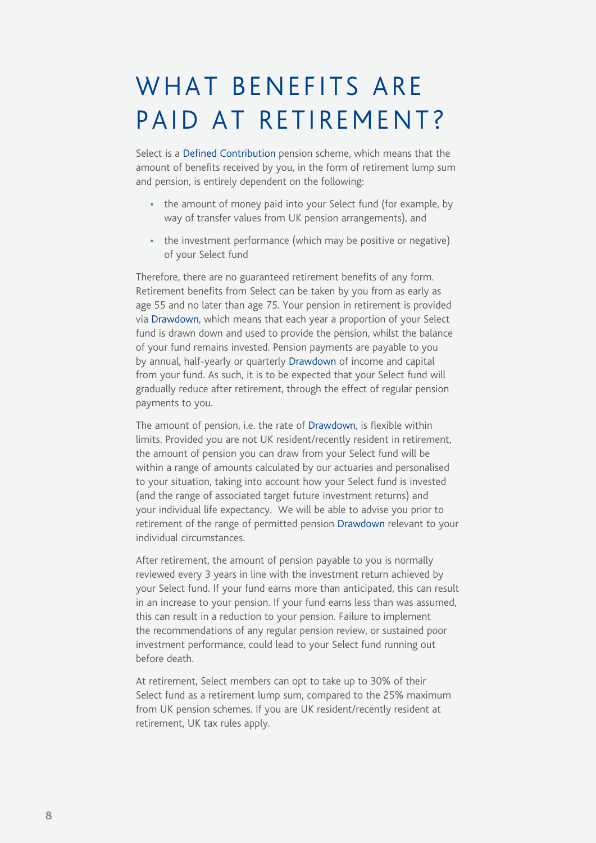### WHAT BENEFITS ARE PAID AT RETIREMENT?

Select is a Defined Contribution pension scheme, which means that the amount of benefits received by you, in the form of retirement lump sum and pension, is entirely dependent on the following:

- the amount of money paid into your Select fund (for example, by way of transfer values from UK pension arrangements), and
- the investment performance (which may be positive or negative) of your Select fund

Therefore, there are no guaranteed retirement benefits of any form. Retirement benefits from Select can be taken by you from as early as age 55 and no later than age 75. Your pension in retirement is provided via Drawdown, which means that each year a proportion of your Select fund is drawn down and used to provide the pension, whilst the balance of your fund remains invested. Pension payments are payable to you by annual, half-yearly or quarterly Drawdown of income and capital from your fund. As such, it is to be expected that your Select fund will gradually reduce after retirement, through the effect of regular pension payments to you.

The amount of pension, i.e. the rate of Drawdown, is flexible within limits. Provided you are not UK resident/recently resident in retirement, the amount of pension you can draw from your Select fund will be within a range of amounts calculated by our actuaries and personalised to your situation, taking into account how your Select fund is invested (and the range of associated target future investment returns) and your individual life expectancy. We will be able to advise you prior to retirement of the range of permitted pension Drawdown relevant to your individual circumstances.

After retirement, the amount of pension payable to you is normally reviewed every 3 years in line with the investment return achieved by your Select fund. If your fund earns more than anticipated, this can result in an increase to your pension. If your fund earns less than was assumed, this can result in a reduction to your pension. Failure to implement the recommendations of any regular pension review, or sustained poor investment performance, could lead to your Select fund running out before death.

At retirement, Select members can opt to take up to 30% of their Select fund as a retirement lump sum, compared to the 25% maximum from UK pension schemes. If you are UK resident/recently resident at retirement, UK tax rules apply.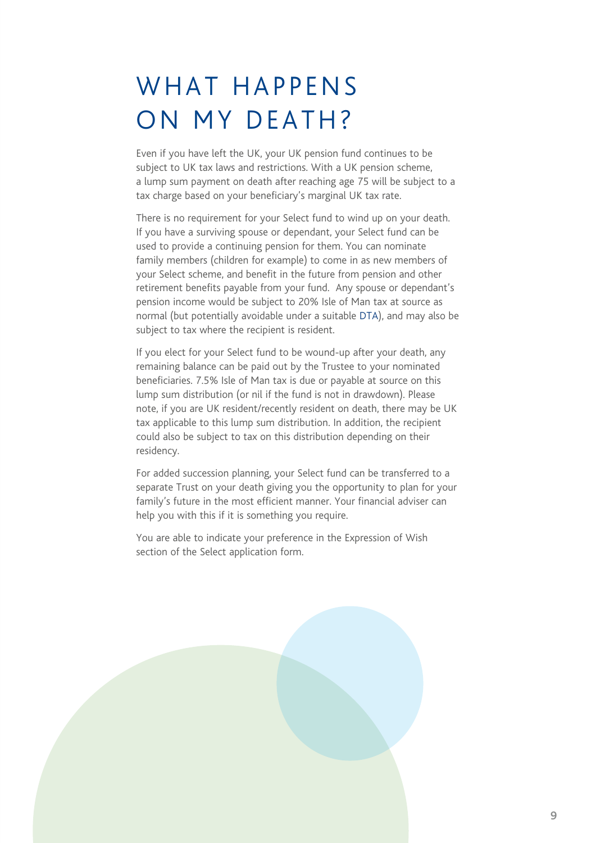### WHAT HAPPENS ON MY DEATH?

Even if you have left the UK, your UK pension fund continues to be subject to UK tax laws and restrictions. With a UK pension scheme, a lump sum payment on death after reaching age 75 will be subject to a tax charge based on your beneficiary's marginal UK tax rate.

There is no requirement for your Select fund to wind up on your death. If you have a surviving spouse or dependant, your Select fund can be used to provide a continuing pension for them. You can nominate family members (children for example) to come in as new members of your Select scheme, and benefit in the future from pension and other retirement benefits payable from your fund. Any spouse or dependant's pension income would be subject to 20% Isle of Man tax at source as normal (but potentially avoidable under a suitable DTA), and may also be subject to tax where the recipient is resident.

If you elect for your Select fund to be wound-up after your death, any remaining balance can be paid out by the Trustee to your nominated beneficiaries. 7.5% Isle of Man tax is due or payable at source on this lump sum distribution (or nil if the fund is not in drawdown). Please note, if you are UK resident/recently resident on death, there may be UK tax applicable to this lump sum distribution. In addition, the recipient could also be subject to tax on this distribution depending on their residency.

For added succession planning, your Select fund can be transferred to a separate Trust on your death giving you the opportunity to plan for your family's future in the most efficient manner. Your financial adviser can help you with this if it is something you require.

You are able to indicate your preference in the Expression of Wish section of the Select application form.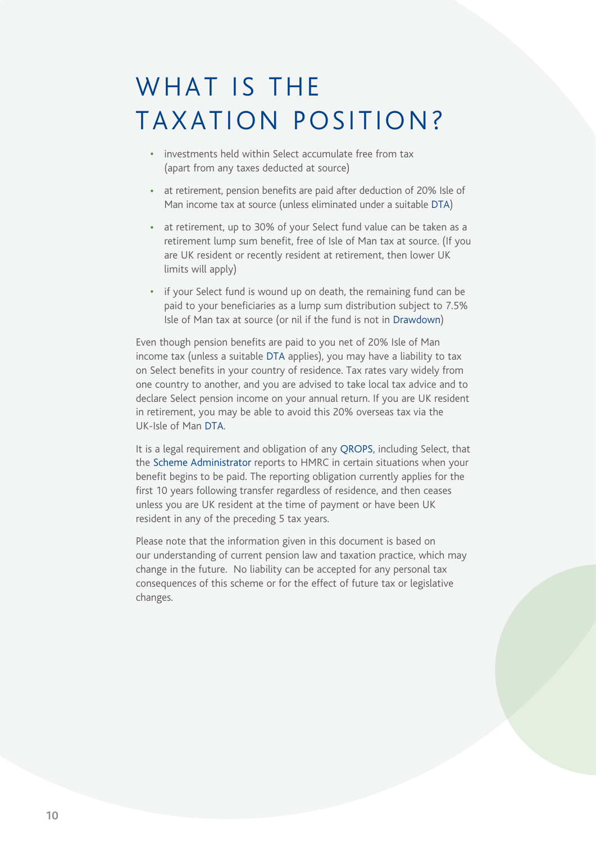### WHAT IS THE TAXATION POSITION?

- investments held within Select accumulate free from tax (apart from any taxes deducted at source)
- at retirement, pension benefits are paid after deduction of 20% Isle of Man income tax at source (unless eliminated under a suitable DTA)
- at retirement, up to 30% of your Select fund value can be taken as a retirement lump sum benefit, free of Isle of Man tax at source. (If you are UK resident or recently resident at retirement, then lower UK limits will apply)
- if your Select fund is wound up on death, the remaining fund can be paid to your beneficiaries as a lump sum distribution subject to 7.5% Isle of Man tax at source (or nil if the fund is not in Drawdown)

Even though pension benefits are paid to you net of 20% Isle of Man income tax (unless a suitable DTA applies), you may have a liability to tax on Select benefits in your country of residence. Tax rates vary widely from one country to another, and you are advised to take local tax advice and to declare Select pension income on your annual return. If you are UK resident in retirement, you may be able to avoid this 20% overseas tax via the UK-Isle of Man DTA.

It is a legal requirement and obligation of any QROPS, including Select, that the Scheme Administrator reports to HMRC in certain situations when your benefit begins to be paid. The reporting obligation currently applies for the first 10 years following transfer regardless of residence, and then ceases unless you are UK resident at the time of payment or have been UK resident in any of the preceding 5 tax years.

Please note that the information given in this document is based on our understanding of current pension law and taxation practice, which may change in the future. No liability can be accepted for any personal tax consequences of this scheme or for the effect of future tax or legislative changes.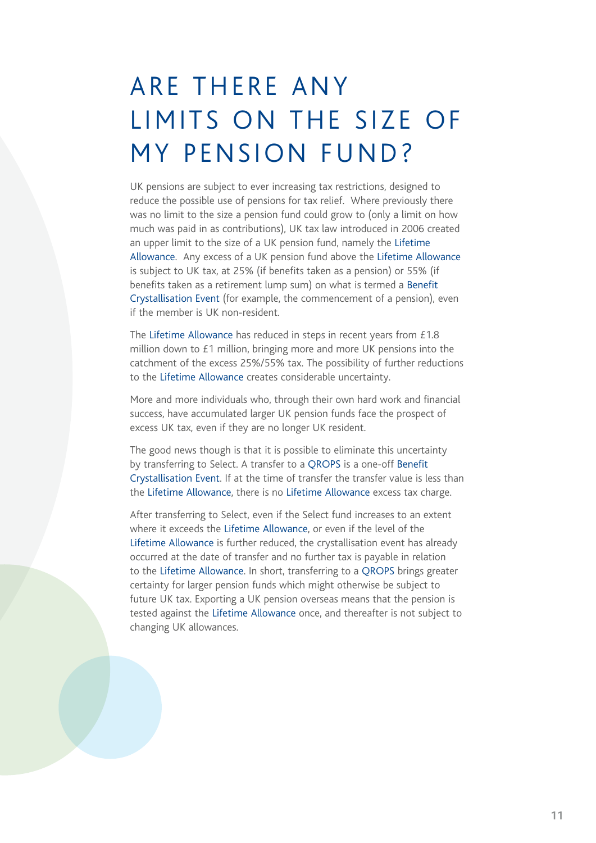# ARE THERE ANY LIMITS ON THE SIZE OF MY PENSION FUND?

UK pensions are subject to ever increasing tax restrictions, designed to reduce the possible use of pensions for tax relief. Where previously there was no limit to the size a pension fund could grow to (only a limit on how much was paid in as contributions), UK tax law introduced in 2006 created an upper limit to the size of a UK pension fund, namely the Lifetime Allowance. Any excess of a UK pension fund above the Lifetime Allowance is subject to UK tax, at 25% (if benefits taken as a pension) or 55% (if benefits taken as a retirement lump sum) on what is termed a Benefit Crystallisation Event (for example, the commencement of a pension), even if the member is UK non-resident.

The Lifetime Allowance has reduced in steps in recent years from £1.8 million down to £1 million, bringing more and more UK pensions into the catchment of the excess 25%/55% tax. The possibility of further reductions to the Lifetime Allowance creates considerable uncertainty.

More and more individuals who, through their own hard work and financial success, have accumulated larger UK pension funds face the prospect of excess UK tax, even if they are no longer UK resident.

The good news though is that it is possible to eliminate this uncertainty by transferring to Select. A transfer to a QROPS is a one-off Benefit Crystallisation Event. If at the time of transfer the transfer value is less than the Lifetime Allowance, there is no Lifetime Allowance excess tax charge.

After transferring to Select, even if the Select fund increases to an extent where it exceeds the Lifetime Allowance, or even if the level of the Lifetime Allowance is further reduced, the crystallisation event has already occurred at the date of transfer and no further tax is payable in relation to the Lifetime Allowance. In short, transferring to a QROPS brings greater certainty for larger pension funds which might otherwise be subject to future UK tax. Exporting a UK pension overseas means that the pension is tested against the Lifetime Allowance once, and thereafter is not subject to changing UK allowances.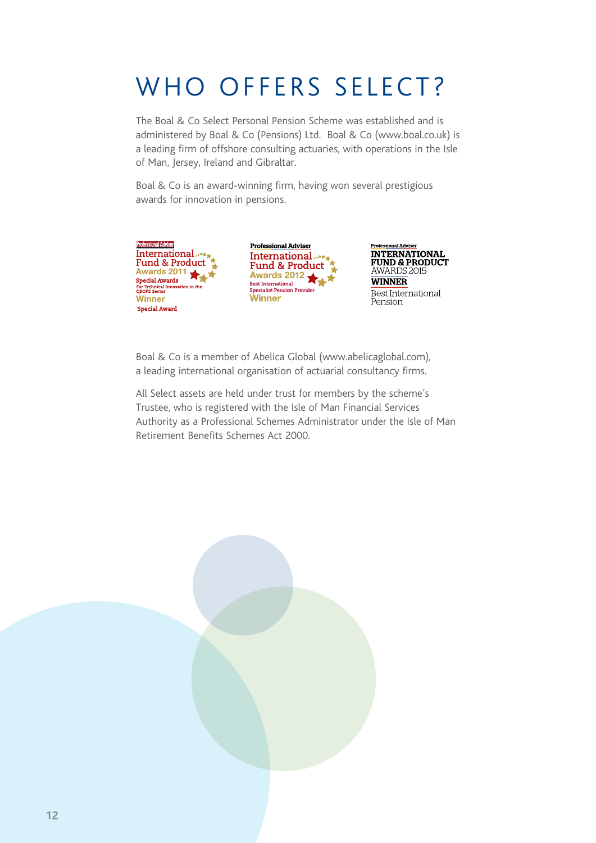# WHO OFFERS SELECT?

The Boal & Co Select Personal Pension Scheme was established and is administered by Boal & Co (Pensions) Ltd. Boal & Co (www.boal.co.uk) is a leading firm of offshore consulting actuaries, with operations in the Isle of Man, Jersey, Ireland and Gibraltar.

Boal & Co is an award-winning firm, having won several prestigious awards for innovation in pensions.



**Professional Adviser** International Fund & Product<br>Awards 2012 Best International<br>Specialist Pension Provider **Winner** 



Boal & Co is a member of Abelica Global (www.abelicaglobal.com), a leading international organisation of actuarial consultancy firms.

All Select assets are held under trust for members by the scheme's Trustee, who is registered with the Isle of Man Financial Services Authority as a Professional Schemes Administrator under the Isle of Man Retirement Benefits Schemes Act 2000.

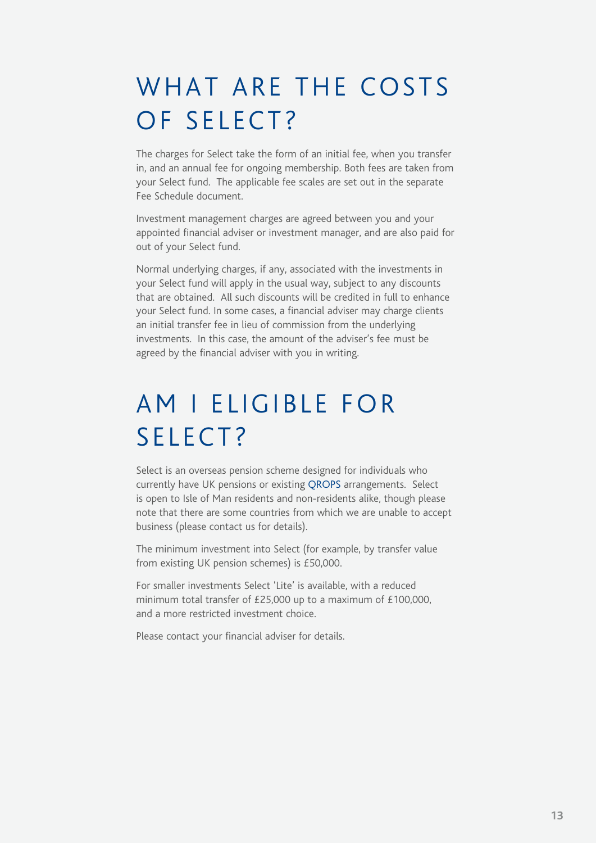### WHAT ARE THE COSTS OF SELECT?

The charges for Select take the form of an initial fee, when you transfer in, and an annual fee for ongoing membership. Both fees are taken from your Select fund. The applicable fee scales are set out in the separate Fee Schedule document.

Investment management charges are agreed between you and your appointed financial adviser or investment manager, and are also paid for out of your Select fund.

Normal underlying charges, if any, associated with the investments in your Select fund will apply in the usual way, subject to any discounts that are obtained. All such discounts will be credited in full to enhance your Select fund. In some cases, a financial adviser may charge clients an initial transfer fee in lieu of commission from the underlying investments. In this case, the amount of the adviser's fee must be agreed by the financial adviser with you in writing.

# AM I ELIGIBLE FOR SELECT?

Select is an overseas pension scheme designed for individuals who currently have UK pensions or existing QROPS arrangements. Select is open to Isle of Man residents and non-residents alike, though please note that there are some countries from which we are unable to accept business (please contact us for details).

The minimum investment into Select (for example, by transfer value from existing UK pension schemes) is £50,000.

For smaller investments Select 'Lite' is available, with a reduced minimum total transfer of £25,000 up to a maximum of £100,000, and a more restricted investment choice.

Please contact your financial adviser for details.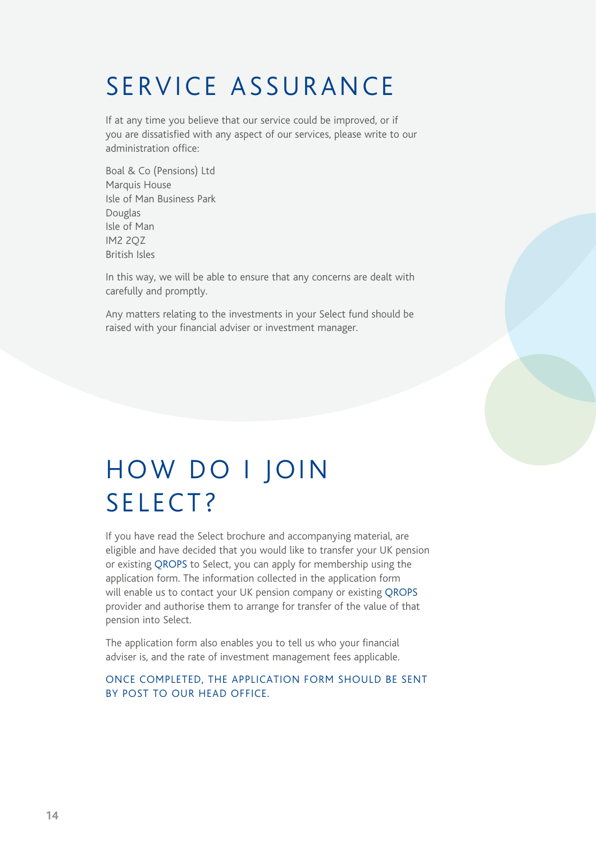## SERVICE ASSURANCE

If at any time you believe that our service could be improved, or if you are dissatisfied with any aspect of our services, please write to our administration office:

Boal & Co (Pensions) Ltd Marquis House Isle of Man Business Park Douglas Isle of Man IM2 2QZ British Isles

In this way, we will be able to ensure that any concerns are dealt with carefully and promptly.

Any matters relating to the investments in your Select fund should be raised with your financial adviser or investment manager.

## HOW DO I JOIN SELECT?

If you have read the Select brochure and accompanying material, are eligible and have decided that you would like to transfer your UK pension or existing QROPS to Select, you can apply for membership using the application form. The information collected in the application form will enable us to contact your UK pension company or existing QROPS provider and authorise them to arrange for transfer of the value of that pension into Select.

The application form also enables you to tell us who your financial adviser is, and the rate of investment management fees applicable.

#### ONCE COMPLETED, THE APPLICATION FORM SHOULD BE SENT BY POST TO OUR HEAD OFFICE.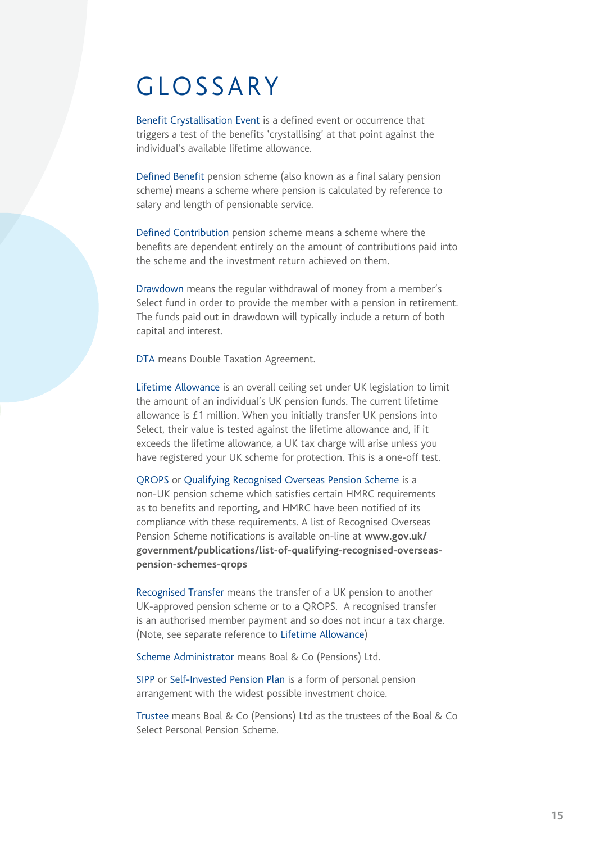#### GLOSSARY

Benefit Crystallisation Event is a defined event or occurrence that triggers a test of the benefits 'crystallising' at that point against the individual's available lifetime allowance.

Defined Benefit pension scheme (also known as a final salary pension scheme) means a scheme where pension is calculated by reference to salary and length of pensionable service.

Defined Contribution pension scheme means a scheme where the benefits are dependent entirely on the amount of contributions paid into the scheme and the investment return achieved on them.

Drawdown means the regular withdrawal of money from a member's Select fund in order to provide the member with a pension in retirement. The funds paid out in drawdown will typically include a return of both capital and interest.

DTA means Double Taxation Agreement.

Lifetime Allowance is an overall ceiling set under UK legislation to limit the amount of an individual's UK pension funds. The current lifetime allowance is £1 million. When you initially transfer UK pensions into Select, their value is tested against the lifetime allowance and, if it exceeds the lifetime allowance, a UK tax charge will arise unless you have registered your UK scheme for protection. This is a one-off test.

QROPS or Qualifying Recognised Overseas Pension Scheme is a non-UK pension scheme which satisfies certain HMRC requirements as to benefits and reporting, and HMRC have been notified of its compliance with these requirements. A list of Recognised Overseas Pension Scheme notifications is available on-line at **www.gov.uk/ government/publications/list-of-qualifying-recognised-overseaspension-schemes-qrops**

Recognised Transfer means the transfer of a UK pension to another UK-approved pension scheme or to a QROPS. A recognised transfer is an authorised member payment and so does not incur a tax charge. (Note, see separate reference to Lifetime Allowance)

Scheme Administrator means Boal & Co (Pensions) Ltd.

SIPP or Self-Invested Pension Plan is a form of personal pension arrangement with the widest possible investment choice.

Trustee means Boal & Co (Pensions) Ltd as the trustees of the Boal & Co Select Personal Pension Scheme.